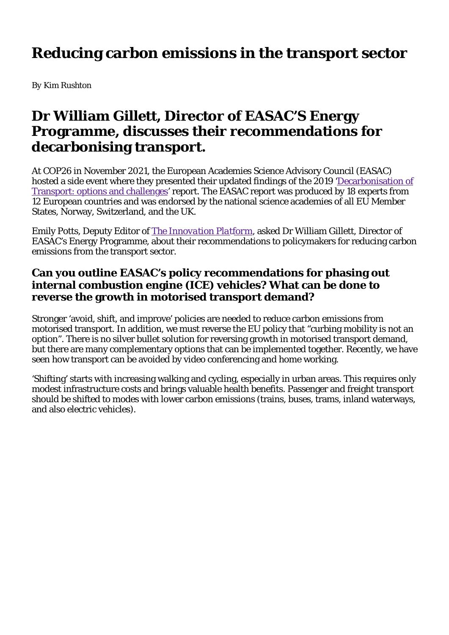# **Reducing carbon emissions in the transport sector**

*By Kim Rushton*

# **Dr William Gillett, Director of EASAC'S Energy Programme, discusses their recommendations for decarbonising transport.**

At COP26 in November 2021, the European Academies Science Advisory Council (EASAC) hosted a side event where they presented their updated findings of the 2019 'Decarbonisation of Transport: options and challenges' report. The EASAC report was produced by 18 experts from 12 European countries and was endorsed by the national science academies of all EU Member States, Norway, Switzerland, and the UK.

Emily Potts, Deputy Editor of *The Innovation Platform,* asked Dr William Gillett, Director of EASAC's Energy Programme, about their recommendations to policymakers for reducing carbon emissions from the transport sector.

#### **Can you outline EASAC's policy recommendations for phasing out internal combustion engine (ICE) vehicles? What can be done to reverse the growth in motorised transport demand?**

Stronger 'avoid, shift, and improve' policies are needed to reduce carbon emissions from motorised transport. In addition, we must reverse the EU policy that "curbing mobility is not an option". There is no silver bullet solution for reversing growth in motorised transport demand, but there are many complementary options that can be implemented together. Recently, we have seen how transport can be avoided by video conferencing and home working.

'Shifting' starts with increasing walking and cycling, especially in urban areas. This requires only modest infrastructure costs and brings valuable health benefits. Passenger and freight transport should be shifted to modes with lower carbon emissions (trains, buses, trams, inland waterways, and also electric vehicles).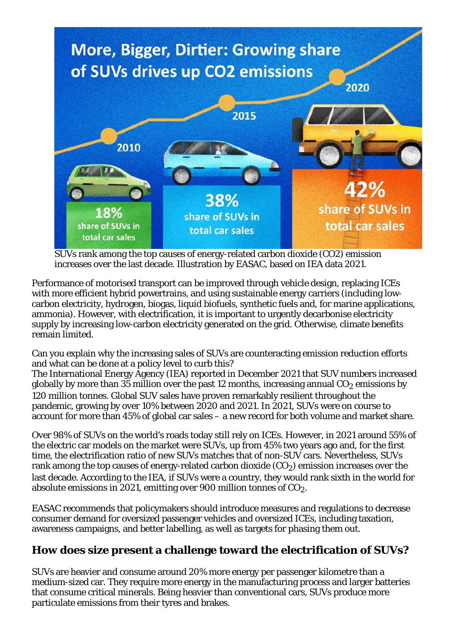

SUVs rank among the top causes of energy-related carbon dioxide (CO2) emission increases over the last decade. Illustration by EASAC, based on IEA data 2021.

Performance of motorised transport can be improved through vehicle design, replacing ICEs with more efficient hybrid powertrains, and using sustainable energy carriers (including lowcarbon electricity, hydrogen, biogas, liquid biofuels, synthetic fuels and, for marine applications, ammonia). However, with electrification, it is important to urgently decarbonise electricity supply by increasing low-carbon electricity generated on the grid. Otherwise, climate benefits remain limited.

Can you explain why the increasing sales of SUVs are counteracting emission reduction efforts and what can be done at a policy level to curb this?

The International Energy Agency (IEA) reported in December 2021 that SUV numbers increased globally by more than 35 million over the past 12 months, increasing annual  $CO<sub>2</sub>$  emissions by 120 million tonnes. Global SUV sales have proven remarkably resilient throughout the pandemic, growing by over 10% between 2020 and 2021. In 2021, SUVs were on course to account for more than 45% of global car sales – a new record for both volume and market share.

Over 98% of SUVs on the world's roads today still rely on ICEs. However, in 2021 around 55% of the electric car models on the market were SUVs, up from 45% two years ago and, for the first time, the electrification ratio of new SUVs matches that of non-SUV cars. Nevertheless, SUVs rank among the top causes of energy-related carbon dioxide  $(CO<sub>2</sub>)$  emission increases over the last decade. According to the IEA, if SUVs were a country, they would rank sixth in the world for absolute emissions in 2021, emitting over 900 million tonnes of  $CO<sub>2</sub>$ .

EASAC recommends that policymakers should introduce measures and regulations to decrease consumer demand for oversized passenger vehicles and oversized ICEs, including taxation, awareness campaigns, and better labelling, as well as targets for phasing them out.

## **How does size present a challenge toward the electrification of SUVs?**

SUVs are heavier and consume around 20% more energy per passenger kilometre than a medium-sized car. They require more energy in the manufacturing process and larger batteries that consume critical minerals. Being heavier than conventional cars, SUVs produce more particulate emissions from their tyres and brakes.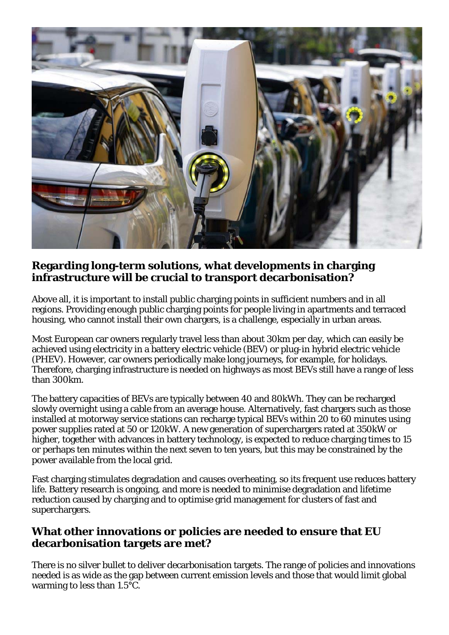

### **Regarding long-term solutions, what developments in charging infrastructure will be crucial to transport decarbonisation?**

Above all, it is important to install public charging points in sufficient numbers and in all regions. Providing enough public charging points for people living in apartments and terraced housing, who cannot install their own chargers, is a challenge, especially in urban areas.

Most European car owners regularly travel less than about 30km per day, which can easily be achieved using electricity in a battery electric vehicle (BEV) or plug-in hybrid electric vehicle (PHEV). However, car owners periodically make long journeys, for example, for holidays. Therefore, charging infrastructure is needed on highways as most BEVs still have a range of less than 300km.

The battery capacities of BEVs are typically between 40 and 80kWh. They can be recharged slowly overnight using a cable from an average house. Alternatively, fast chargers such as those installed at motorway service stations can recharge typical BEVs within 20 to 60 minutes using power supplies rated at 50 or 120kW. A new generation of superchargers rated at 350kW or higher, together with advances in battery technology, is expected to reduce charging times to 15 or perhaps ten minutes within the next seven to ten years, but this may be constrained by the power available from the local grid.

Fast charging stimulates degradation and causes overheating, so its frequent use reduces battery life. Battery research is ongoing, and more is needed to minimise degradation and lifetime reduction caused by charging and to optimise grid management for clusters of fast and superchargers.

#### **What other innovations or policies are needed to ensure that EU decarbonisation targets are met?**

There is no silver bullet to deliver decarbonisation targets. The range of policies and innovations needed is as wide as the gap between current emission levels and those that would limit global warming to less than 1.5°C.